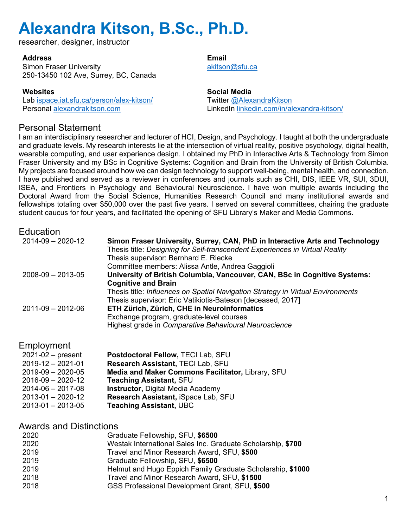researcher, designer, instructor

#### **Address**

Simon Fraser University 250-13450 102 Ave, Surrey, BC, Canada

#### **Websites**

Lab ispace.iat.sfu.ca/person/alex-kitson/ Personal alexandrakitson.com

#### **Email**  akitson@sfu.ca

**Social Media** Twitter @AlexandraKitson LinkedIn linkedin.com/in/alexandra-kitson/

### Personal Statement

I am an interdisciplinary researcher and lecturer of HCI, Design, and Psychology. I taught at both the undergraduate and graduate levels. My research interests lie at the intersection of virtual reality, positive psychology, digital health, wearable computing, and user experience design. I obtained my PhD in Interactive Arts & Technology from Simon Fraser University and my BSc in Cognitive Systems: Cognition and Brain from the University of British Columbia. My projects are focused around how we can design technology to support well-being, mental health, and connection. I have published and served as a reviewer in conferences and journals such as CHI, DIS, IEEE VR, SUI, 3DUI, ISEA, and Frontiers in Psychology and Behavioural Neuroscience. I have won multiple awards including the Doctoral Award from the Social Science, Humanities Research Council and many institutional awards and fellowships totaling over \$50,000 over the past five years. I served on several committees, chairing the graduate student caucus for four years, and facilitated the opening of SFU Library's Maker and Media Commons.

| Education               |                                                                                                                                                              |
|-------------------------|--------------------------------------------------------------------------------------------------------------------------------------------------------------|
| $2014 - 09 - 2020 - 12$ | Simon Fraser University, Surrey, CAN, PhD in Interactive Arts and Technology<br>Thesis title: Designing for Self-transcendent Experiences in Virtual Reality |
|                         | Thesis supervisor: Bernhard E. Riecke                                                                                                                        |
|                         | Committee members: Alissa Antle, Andrea Gaggioli                                                                                                             |
| $2008 - 09 - 2013 - 05$ | University of British Columbia, Vancouver, CAN, BSc in Cognitive Systems:<br><b>Cognitive and Brain</b>                                                      |
|                         | Thesis title: Influences on Spatial Navigation Strategy in Virtual Environments<br>Thesis supervisor: Eric Vatikiotis-Bateson [deceased, 2017]               |
| $2011 - 09 - 2012 - 06$ | ETH Zürich, Zürich, CHE in Neuroinformatics                                                                                                                  |
|                         | Exchange program, graduate-level courses<br>Highest grade in Comparative Behavioural Neuroscience                                                            |
|                         |                                                                                                                                                              |

### Employment

| $2021-02$ – present     | Postdoctoral Fellow, TECI Lab, SFU                |
|-------------------------|---------------------------------------------------|
| $2019 - 12 - 2021 - 01$ | Research Assistant, TECI Lab, SFU                 |
| $2019-09 - 2020-05$     | Media and Maker Commons Facilitator, Library, SFU |
| $2016 - 09 - 2020 - 12$ | <b>Teaching Assistant, SFU</b>                    |
| $2014 - 06 - 2017 - 08$ | <b>Instructor, Digital Media Academy</b>          |
| $2013 - 01 - 2020 - 12$ | Research Assistant, iSpace Lab, SFU               |
| $2013 - 01 - 2013 - 05$ | <b>Teaching Assistant, UBC</b>                    |
|                         |                                                   |

### Awards and Distinctions

| 2020 | Graduate Fellowship, SFU, \$6500                            |
|------|-------------------------------------------------------------|
| 2020 | Westak International Sales Inc. Graduate Scholarship, \$700 |
| 2019 | Travel and Minor Research Award, SFU, \$500                 |
| 2019 | Graduate Fellowship, SFU, \$6500                            |
| 2019 | Helmut and Hugo Eppich Family Graduate Scholarship, \$1000  |
| 2018 | Travel and Minor Research Award, SFU, \$1500                |
| 2018 | GSS Professional Development Grant, SFU, \$500              |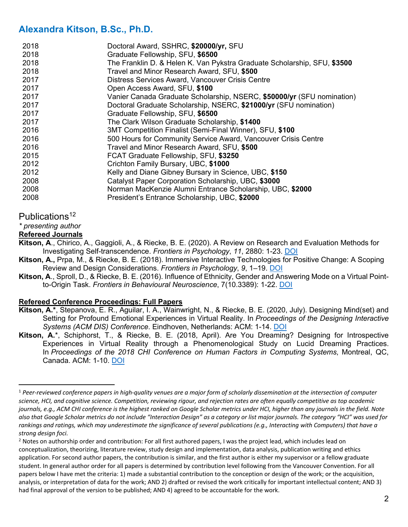| 2018 | Doctoral Award, SSHRC, \$20000/yr, SFU                                   |
|------|--------------------------------------------------------------------------|
| 2018 | Graduate Fellowship, SFU, \$6500                                         |
| 2018 | The Franklin D. & Helen K. Van Pykstra Graduate Scholarship, SFU, \$3500 |
| 2018 | Travel and Minor Research Award, SFU, \$500                              |
| 2017 | Distress Services Award, Vancouver Crisis Centre                         |
| 2017 | Open Access Award, SFU, \$100                                            |
| 2017 | Vanier Canada Graduate Scholarship, NSERC, \$50000/yr (SFU nomination)   |
| 2017 | Doctoral Graduate Scholarship, NSERC, \$21000/yr (SFU nomination)        |
| 2017 | Graduate Fellowship, SFU, \$6500                                         |
| 2017 | The Clark Wilson Graduate Scholarship, \$1400                            |
| 2016 | 3MT Competition Finalist (Semi-Final Winner), SFU, \$100                 |
| 2016 | 500 Hours for Community Service Award, Vancouver Crisis Centre           |
| 2016 | Travel and Minor Research Award, SFU, \$500                              |
| 2015 | FCAT Graduate Fellowship, SFU, \$3250                                    |
| 2012 | Crichton Family Bursary, UBC, \$1000                                     |
| 2012 | Kelly and Diane Gibney Bursary in Science, UBC, \$150                    |
| 2008 | Catalyst Paper Corporation Scholarship, UBC, \$3000                      |
| 2008 | Norman MacKenzie Alumni Entrance Scholarship, UBC, \$2000                |
| 2008 | President's Entrance Scholarship, UBC, \$2000                            |

#### Publications<sup>12</sup>

*\* presenting author*

#### **Refereed Journals**

**Kitson, A**., Chirico, A., Gaggioli, A., & Riecke, B. E. (2020). A Review on Research and Evaluation Methods for Investigating Self-transcendence. *Frontiers in Psychology*, *11*, 2880: 1-23. DOI

- **Kitson, A.,** Prpa, M., & Riecke, B. E. (2018). Immersive Interactive Technologies for Positive Change: A Scoping Review and Design Considerations. *Frontiers in Psychology*, *9*, 1–19. DOI
- **Kitson, A**., Sproll, D., & Riecke, B. E. (2016). Influence of Ethnicity, Gender and Answering Mode on a Virtual Pointto-Origin Task. *Frontiers in Behavioural Neuroscience*, 7(10.3389): 1-22. DOI

#### **Refereed Conference Proceedings: Full Papers**

- **Kitson, A.\***, Stepanova, E. R., Aguilar, I. A., Wainwright, N., & Riecke, B. E. (2020, July). Designing Mind(set) and Setting for Profound Emotional Experiences in Virtual Reality. In *Proceedings of the Designing Interactive Systems (ACM DIS) Conference*. Eindhoven, Netherlands: ACM: 1-14. DOI
- **Kitson, A.**\*, Schiphorst, T., & Riecke, B. E. (2018, April). Are You Dreaming? Designing for Introspective Experiences in Virtual Reality through a Phenomenological Study on Lucid Dreaming Practices. In *Proceedings of the 2018 CHI Conference on Human Factors in Computing Systems*, Montreal, QC, Canada. ACM: 1-10. DOI

<sup>1</sup> *Peer-reviewed conference papers in high-quality venues are a major form of scholarly dissemination at the intersection of computer science, HCI, and cognitive science. Competition, reviewing rigour, and rejection rates are often equally competitive as top academic journals, e.g., ACM CHI conference is the highest ranked on Google Scholar metrics under HCI, higher than any journals in the field. Note also that Google Scholar metrics do not include "Interaction Design" as a category or list major journals. The category "HCI" was used for rankings and ratings, which may underestimate the significance of several publications (e.g., Interacting with Computers) that have a strong design foci.*

 $2$  Notes on authorship order and contribution: For all first authored papers, I was the project lead, which includes lead on conceptualization, theorizing, literature review, study design and implementation, data analysis, publication writing and ethics application. For second author papers, the contribution is similar, and the first author is either my supervisor or a fellow graduate student. In general author order for all papers is determined by contribution level following from the Vancouver Convention. For all papers below I have met the criteria: 1) made a substantial contribution to the conception or design of the work; or the acquisition, analysis, or interpretation of data for the work; AND 2) drafted or revised the work critically for important intellectual content; AND 3) had final approval of the version to be published; AND 4) agreed to be accountable for the work.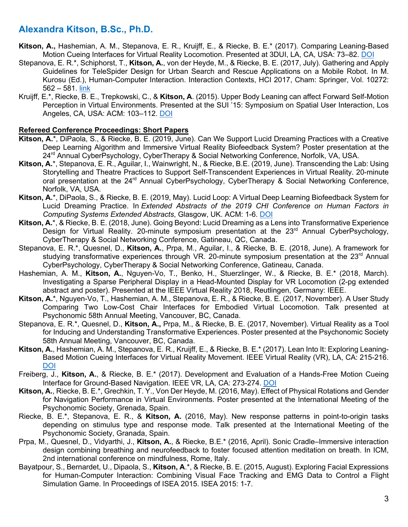- **Kitson, A.,** Hashemian, A. M., Stepanova, E. R., Kruijff, E., & Riecke, B. E.\* (2017). Comparing Leaning-Based Motion Cueing Interfaces for Virtual Reality Locomotion. Presented at 3DUI, LA, CA, USA: 73–82. DOI
- Stepanova, E. R.\*, Schiphorst, T., **Kitson, A.**, von der Heyde, M., & Riecke, B. E. (2017, July). Gathering and Apply Guidelines for TeleSpider Design for Urban Search and Rescue Applications on a Mobile Robot. In M. Kurosu (Ed.), Human-Computer Interaction. Interaction Contexts, HCI 2017, Cham: Springer, Vol. 10272: 562 – 581. link
- Kruijff, E.\*, Riecke, B. E., Trepkowski, C., & **Kitson, A**. (2015). Upper Body Leaning can affect Forward Self-Motion Perception in Virtual Environments. Presented at the SUI '15: Symposium on Spatial User Interaction, Los Angeles, CA, USA: ACM: 103–112. DOI

#### **Refereed Conference Proceedings: Short Papers**

- **Kitson, A.**\*, DiPaola, S., & Riecke, B. E. (2019, June). Can We Support Lucid Dreaming Practices with a Creative Deep Learning Algorithm and Immersive Virtual Reality Biofeedback System? Poster presentation at the 24<sup>rd</sup> Annual CyberPsychology, CyberTherapy & Social Networking Conference, Norfolk, VA, USA.
- **Kitson, A.**\*, Stepanova, E. R., Aguilar, I., Wainwright, N., & Riecke, B.E. (2019, June). Transcending the Lab: Using Storytelling and Theatre Practices to Support Self-Transcendent Experiences in Virtual Reality. 20-minute oral presentation at the 24<sup>rd</sup> Annual CyberPsychology, CyberTherapy & Social Networking Conference, Norfolk, VA, USA.
- **Kitson, A.**\*, DiPaola, S., & Riecke, B. E. (2019, May). Lucid Loop: A Virtual Deep Learning Biofeedback System for Lucid Dreaming Practice. In *Extended Abstracts of the 2019 CHI Conference on Human Factors in Computing Systems Extended Abstracts*, Glasgow, UK. ACM: 1-6. DOI
- **Kitson, A.**\*, & Riecke, B. E. (2018, June). Going Beyond: Lucid Dreaming as a Lens into Transformative Experience Design for Virtual Reality. 20-minute symposium presentation at the  $23<sup>rd</sup>$  Annual CyberPsychology, CyberTherapy & Social Networking Conference, Gatineau, QC, Canada.
- Stepanova, E. R.\*, Quesnel, D., **Kitson, A.**, Prpa, M., Aguilar, I., & Riecke, B. E. (2018, June). A framework for studying transformative experiences through VR. 20-minute symposium presentation at the 23<sup>rd</sup> Annual CyberPsychology, CyberTherapy & Social Networking Conference, Gatineau, Canada.
- Hashemian, A. M., **Kitson, A.**, Nguyen-Vo, T., Benko, H., Stuerzlinger, W., & Riecke, B. E.\* (2018, March). Investigating a Sparse Peripheral Display in a Head-Mounted Display for VR Locomotion (2-pg extended abstract and poster). Presented at the IEEE Virtual Reality 2018, Reutlingen, Germany: IEEE.
- **Kitson, A.**\*, Nguyen-Vo, T., Hashemian, A. M., Stepanova, E. R., & Riecke, B. E. (2017, November). A User Study Comparing Two Low-Cost Chair Interfaces for Embodied Virtual Locomotion. Talk presented at Psychonomic 58th Annual Meeting, Vancouver, BC, Canada.
- Stepanova, E. R.\*, Quesnel, D., **Kitson, A.,** Prpa, M., & Riecke, B. E. (2017, November). Virtual Reality as a Tool for Inducing and Understanding Transformative Experiences. Poster presented at the Psychonomic Society 58th Annual Meeting, Vancouver, BC, Canada.
- **Kitson, A.**, Hashemian, A. M., Stepanova, E. R., Kruijff, E., & Riecke, B. E.\* (2017). Lean Into It: Exploring Leaning-Based Motion Cueing Interfaces for Virtual Reality Movement. IEEE Virtual Reality (VR), LA, CA: 215-216. **DOI**
- Freiberg, J., **Kitson, A.**, & Riecke, B. E.\* (2017). Development and Evaluation of a Hands-Free Motion Cueing Interface for Ground-Based Navigation. IEEE VR, LA, CA: 273-274. DOI
- **Kitson, A.**, Riecke, B. E.\*, Grechkin, T. Y., Von Der Heyde, M. (2016, May). Effect of Physical Rotations and Gender for Navigation Performance in Virtual Environments. Poster presented at the International Meeting of the Psychonomic Society, Grenada, Spain.
- Riecke, B. E.\*, Stepanova, E. R., & **Kitson, A.** (2016, May). New response patterns in point-to-origin tasks depending on stimulus type and response mode. Talk presented at the International Meeting of the Psychonomic Society, Granada, Spain.
- Prpa, M., Quesnel, D., Vidyarthi, J., **Kitson, A.**, & Riecke, B.E.\* (2016, April). Sonic Cradle–Immersive interaction design combining breathing and neurofeedback to foster focused attention meditation on breath. In ICM, 2nd international conference on mindfulness, Rome, Italy.
- Bayatpour, S., Bernardet, U., Dipaola, S., **Kitson, A**.\*, & Riecke, B. E. (2015, August). Exploring Facial Expressions for Human-Computer Interaction: Combining Visual Face Tracking and EMG Data to Control a Flight Simulation Game. In Proceedings of ISEA 2015. ISEA 2015: 1-7.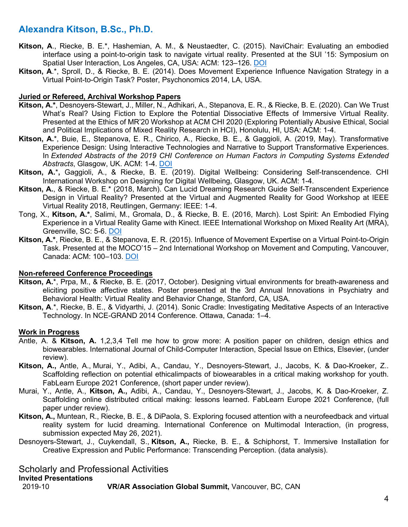- **Kitson, A**., Riecke, B. E.\*, Hashemian, A. M., & Neustaedter, C. (2015). NaviChair: Evaluating an embodied interface using a point-to-origin task to navigate virtual reality. Presented at the SUI '15: Symposium on Spatial User Interaction, Los Angeles, CA, USA: ACM: 123–126. DOI
- **Kitson, A**.\*, Sproll, D., & Riecke, B. E. (2014). Does Movement Experience Influence Navigation Strategy in a Virtual Point-to-Origin Task? Poster, Psychonomics 2014, LA, USA.

#### **Juried or Refereed, Archival Workshop Papers**

- **Kitson, A.\***, Desnoyers-Stewart, J., Miller, N., Adhikari, A., Stepanova, E. R., & Riecke, B. E. (2020). Can We Trust What's Real? Using Fiction to Explore the Potential Dissociative Effects of Immersive Virtual Reality. Presented at the Ethics of MR'20 Workshop at ACM CHI 2020 (Exploring Potentially Abusive Ethical, Social and Political Implications of Mixed Reality Research in HCI), Honolulu, HI, USA: ACM: 1-4.
- **Kitson, A.**\*, Buie, E., Stepanova, E. R., Chirico, A., Riecke, B. E., & Gaggioli, A. (2019, May). Transformative Experience Design: Using Interactive Technologies and Narrative to Support Transformative Experiences. In *Extended Abstracts of the 2019 CHI Conference on Human Factors in Computing Systems Extended Abstracts*, Glasgow, UK. ACM: 1-4. DOI
- **Kitson, A.**\***,** Gaggioli, A., & Riecke, B. E. (2019). Digital Wellbeing: Considering Self-transcendence. CHI International Workshop on Designing for Digital Wellbeing, Glasgow, UK. ACM: 1-4.
- **Kitson, A.**, & Riecke, B. E.\* (2018, March). Can Lucid Dreaming Research Guide Self-Transcendent Experience Design in Virtual Reality? Presented at the Virtual and Augmented Reality for Good Workshop at IEEE Virtual Reality 2018, Reutlingen, Germany: IEEE: 1-4.
- Tong, X., **Kitson, A.\***, Salimi, M., Gromala, D., & Riecke, B. E. (2016, March). Lost Spirit: An Embodied Flying Experience in a Virtual Reality Game with Kinect. IEEE International Workshop on Mixed Reality Art (MRA), Greenville, SC: 5-6. DOI
- **Kitson, A.\***, Riecke, B. E., & Stepanova, E. R. (2015). Influence of Movement Expertise on a Virtual Point-to-Origin Task. Presented at the MOCO'15 – 2nd International Workshop on Movement and Computing, Vancouver, Canada: ACM: 100–103. DOI

#### **Non-refereed Conference Proceedings**

- **Kitson, A.**\*, Prpa, M., & Riecke, B. E. (2017, October). Designing virtual environments for breath-awareness and eliciting positive affective states. Poster presented at the 3rd Annual Innovations in Psychiatry and Behavioral Health: Virtual Reality and Behavior Change, Stanford, CA, USA.
- **Kitson, A**.\*, Riecke, B. E., & Vidyarthi, J. (2014). Sonic Cradle: Investigating Meditative Aspects of an Interactive Technology. In NCE-GRAND 2014 Conference. Ottawa, Canada: 1–4.

#### **Work in Progress**

- Antle, A. & **Kitson, A.** 1,2,3,4 Tell me how to grow more: A position paper on children, design ethics and biowearables. International Journal of Child-Computer Interaction, Special Issue on Ethics, Elsevier, (under review).
- **Kitson, A.,** Antle, A., Murai, Y., Adibi, A., Candau, Y., Desnoyers-Stewart, J., Jacobs, K. & Dao-Kroeker, Z.. Scaffolding reflection on potential ethicalimpacts of biowearables in a critical making workshop for youth. FabLearn Europe 2021 Conference, (short paper under review).
- Murai, Y., Antle, A., **Kitson, A.,** Adibi, A., Candau, Y., Desnoyers-Stewart, J., Jacobs, K. & Dao-Kroeker, Z. Scaffolding online distributed critical making: lessons learned. FabLearn Europe 2021 Conference, (full paper under review).
- **Kitson, A.,** Muntean, R., Riecke, B. E., & DiPaola, S. Exploring focused attention with a neurofeedback and virtual reality system for lucid dreaming. International Conference on Multimodal Interaction, (in progress, submission expected May 26, 2021).
- Desnoyers-Stewart, J., Cuykendall, S., **Kitson, A.,** Riecke, B. E., & Schiphorst, T. Immersive Installation for Creative Expression and Public Performance: Transcending Perception. (data analysis).

### Scholarly and Professional Activities

#### **Invited Presentations**

2019-10 **VR/AR Association Global Summit,** Vancouver, BC, CAN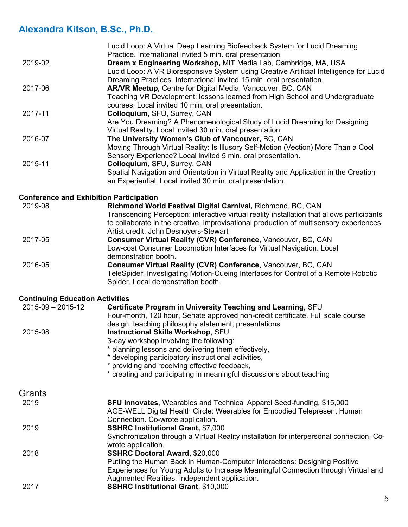|                                                | Lucid Loop: A Virtual Deep Learning Biofeedback System for Lucid Dreaming                                             |
|------------------------------------------------|-----------------------------------------------------------------------------------------------------------------------|
|                                                | Practice. International invited 5 min. oral presentation.                                                             |
| 2019-02                                        | Dream x Engineering Workshop, MIT Media Lab, Cambridge, MA, USA                                                       |
|                                                | Lucid Loop: A VR Bioresponsive System using Creative Artificial Intelligence for Lucid                                |
|                                                | Dreaming Practices. International invited 15 min. oral presentation.                                                  |
| 2017-06                                        | AR/VR Meetup, Centre for Digital Media, Vancouver, BC, CAN                                                            |
|                                                | Teaching VR Development: lessons learned from High School and Undergraduate                                           |
|                                                | courses. Local invited 10 min. oral presentation.                                                                     |
| 2017-11                                        | Colloquium, SFU, Surrey, CAN                                                                                          |
|                                                | Are You Dreaming? A Phenomenological Study of Lucid Dreaming for Designing                                            |
|                                                | Virtual Reality. Local invited 30 min. oral presentation.                                                             |
| 2016-07                                        | The University Women's Club of Vancouver, BC, CAN                                                                     |
|                                                | Moving Through Virtual Reality: Is Illusory Self-Motion (Vection) More Than a Cool                                    |
|                                                | Sensory Experience? Local invited 5 min. oral presentation.                                                           |
| 2015-11                                        | Colloquium, SFU, Surrey, CAN<br>Spatial Navigation and Orientation in Virtual Reality and Application in the Creation |
|                                                | an Experiential. Local invited 30 min. oral presentation.                                                             |
|                                                |                                                                                                                       |
| <b>Conference and Exhibition Participation</b> |                                                                                                                       |
| 2019-08                                        | Richmond World Festival Digital Carnival, Richmond, BC, CAN                                                           |
|                                                | Transcending Perception: interactive virtual reality installation that allows participants                            |
|                                                | to collaborate in the creative, improvisational production of multisensory experiences.                               |
|                                                | Artist credit: John Desnoyers-Stewart                                                                                 |
| 2017-05                                        | Consumer Virtual Reality (CVR) Conference, Vancouver, BC, CAN                                                         |
|                                                | Low-cost Consumer Locomotion Interfaces for Virtual Navigation. Local                                                 |
|                                                | demonstration booth.                                                                                                  |
| 2016-05                                        | Consumer Virtual Reality (CVR) Conference, Vancouver, BC, CAN                                                         |
|                                                | TeleSpider: Investigating Motion-Cueing Interfaces for Control of a Remote Robotic                                    |
|                                                | Spider. Local demonstration booth.                                                                                    |
| <b>Continuing Education Activities</b>         |                                                                                                                       |
| $2015 - 09 - 2015 - 12$                        | Certificate Program in University Teaching and Learning, SFU                                                          |
|                                                | Four-month, 120 hour, Senate approved non-credit certificate. Full scale course                                       |
|                                                | design, teaching philosophy statement, presentations                                                                  |
| 2015-08                                        | Instructional Skills Workshop, SFU                                                                                    |
|                                                | 3-day workshop involving the following:                                                                               |
|                                                | * planning lessons and delivering them effectively,                                                                   |
|                                                | * developing participatory instructional activities,                                                                  |
|                                                | * providing and receiving effective feedback,                                                                         |
|                                                | * creating and participating in meaningful discussions about teaching                                                 |
|                                                |                                                                                                                       |
| Grants<br>2010                                 | <b>SELLInnovator</b> <i>Woorphips and Tophnical Annarol Spod funding</i> \$15,000                                     |
|                                                |                                                                                                                       |

| 2019 | <b>SFU Innovates, Wearables and Technical Apparel Seed-funding, \$15,000</b>                                   |
|------|----------------------------------------------------------------------------------------------------------------|
|      | AGE-WELL Digital Health Circle: Wearables for Embodied Telepresent Human                                       |
|      | Connection. Co-wrote application.                                                                              |
| 2019 | <b>SSHRC Institutional Grant, \$7,000</b>                                                                      |
|      | Synchronization through a Virtual Reality installation for interpersonal connection. Co-<br>wrote application. |
| 2018 | <b>SSHRC Doctoral Award, \$20,000</b>                                                                          |
|      | Putting the Human Back in Human-Computer Interactions: Designing Positive                                      |
|      | Experiences for Young Adults to Increase Meaningful Connection through Virtual and                             |
|      | Augmented Realities. Independent application.                                                                  |
| 2017 | <b>SSHRC Institutional Grant, \$10,000</b>                                                                     |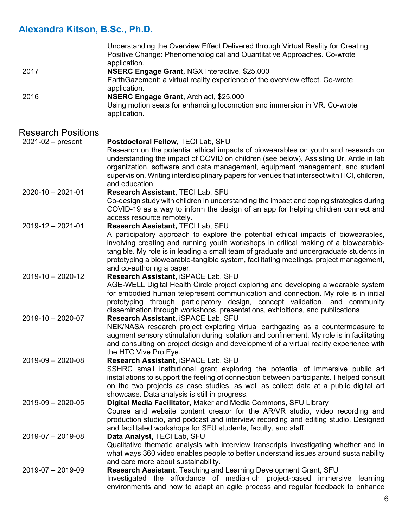|                           | Understanding the Overview Effect Delivered through Virtual Reality for Creating<br>Positive Change: Phenomenological and Quantitative Approaches. Co-wrote  |
|---------------------------|--------------------------------------------------------------------------------------------------------------------------------------------------------------|
|                           | application.                                                                                                                                                 |
| 2017                      | NSERC Engage Grant, NGX Interactive, \$25,000                                                                                                                |
|                           | EarthGazement: a virtual reality experience of the overview effect. Co-wrote<br>application.                                                                 |
| 2016                      | NSERC Engage Grant, Archiact, \$25,000                                                                                                                       |
|                           | Using motion seats for enhancing locomotion and immersion in VR. Co-wrote                                                                                    |
|                           | application.                                                                                                                                                 |
| <b>Research Positions</b> |                                                                                                                                                              |
| $2021-02$ – present       | Postdoctoral Fellow, TECI Lab, SFU                                                                                                                           |
|                           | Research on the potential ethical impacts of biowearables on youth and research on                                                                           |
|                           | understanding the impact of COVID on children (see below). Assisting Dr. Antle in lab                                                                        |
|                           | organization, software and data management, equipment management, and student                                                                                |
|                           | supervision. Writing interdisciplinary papers for venues that intersect with HCI, children,                                                                  |
|                           | and education.                                                                                                                                               |
| $2020 - 10 - 2021 - 01$   | Research Assistant, TECI Lab, SFU                                                                                                                            |
|                           | Co-design study with children in understanding the impact and coping strategies during                                                                       |
|                           | COVID-19 as a way to inform the design of an app for helping children connect and                                                                            |
|                           | access resource remotely.                                                                                                                                    |
| $2019 - 12 - 2021 - 01$   | Research Assistant, TECI Lab, SFU                                                                                                                            |
|                           | A participatory approach to explore the potential ethical impacts of biowearables,                                                                           |
|                           | involving creating and running youth workshops in critical making of a biowearable-                                                                          |
|                           | tangible. My role is in leading a small team of graduate and undergraduate students in                                                                       |
|                           | prototyping a biowearable-tangible system, facilitating meetings, project management,                                                                        |
|                           | and co-authoring a paper.                                                                                                                                    |
| $2019 - 10 - 2020 - 12$   | Research Assistant, iSPACE Lab, SFU                                                                                                                          |
|                           | AGE-WELL Digital Health Circle project exploring and developing a wearable system                                                                            |
|                           | for embodied human telepresent communication and connection. My role is in initial                                                                           |
|                           | prototyping through participatory design, concept validation, and community<br>dissemination through workshops, presentations, exhibitions, and publications |
| $2019 - 10 - 2020 - 07$   | Research Assistant, iSPACE Lab, SFU                                                                                                                          |
|                           | NEK/NASA research project exploring virtual earthgazing as a countermeasure to                                                                               |
|                           | augment sensory stimulation during isolation and confinement. My role is in facilitating                                                                     |
|                           | and consulting on project design and development of a virtual reality experience with                                                                        |
|                           | the HTC Vive Pro Eye.                                                                                                                                        |
| $2019-09 - 2020-08$       | Research Assistant, iSPACE Lab, SFU                                                                                                                          |
|                           | SSHRC small institutional grant exploring the potential of immersive public art                                                                              |
|                           | installations to support the feeling of connection between participants. I helped consult                                                                    |
|                           | on the two projects as case studies, as well as collect data at a public digital art                                                                         |
|                           | showcase. Data analysis is still in progress.                                                                                                                |
| $2019-09 - 2020-05$       | Digital Media Facilitator, Maker and Media Commons, SFU Library                                                                                              |
|                           | Course and website content creator for the AR/VR studio, video recording and                                                                                 |
|                           | production studio, and podcast and interview recording and editing studio. Designed                                                                          |
|                           | and facilitated workshops for SFU students, faculty, and staff.                                                                                              |
| $2019-07 - 2019-08$       | Data Analyst, TECI Lab, SFU                                                                                                                                  |
|                           | Qualitative thematic analysis with interview transcripts investigating whether and in                                                                        |
|                           | what ways 360 video enables people to better understand issues around sustainability                                                                         |
|                           | and care more about sustainability.                                                                                                                          |
| $2019-07 - 2019-09$       | Research Assistant, Teaching and Learning Development Grant, SFU                                                                                             |
|                           | Investigated the affordance of media-rich project-based immersive learning                                                                                   |
|                           | environments and how to adapt an agile process and regular feedback to enhance                                                                               |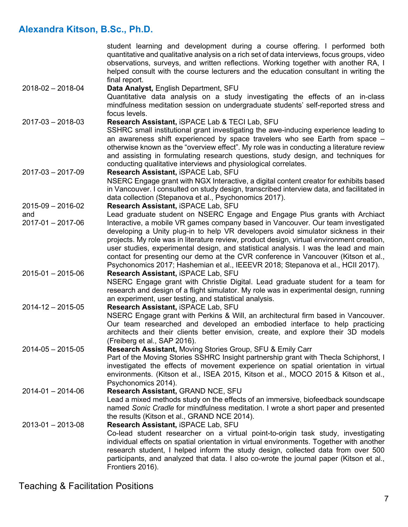|                         | student learning and development during a course offering. I performed both<br>quantitative and qualitative analysis on a rich set of data interviews, focus groups, video<br>observations, surveys, and written reflections. Working together with another RA, I<br>helped consult with the course lecturers and the education consultant in writing the                                                                                                                                                                            |
|-------------------------|--------------------------------------------------------------------------------------------------------------------------------------------------------------------------------------------------------------------------------------------------------------------------------------------------------------------------------------------------------------------------------------------------------------------------------------------------------------------------------------------------------------------------------------|
| $2018 - 02 - 2018 - 04$ | final report.<br>Data Analyst, English Department, SFU<br>Quantitative data analysis on a study investigating the effects of an in-class<br>mindfulness meditation session on undergraduate students' self-reported stress and<br>focus levels.                                                                                                                                                                                                                                                                                      |
| $2017 - 03 - 2018 - 03$ | Research Assistant, iSPACE Lab & TECI Lab, SFU<br>SSHRC small institutional grant investigating the awe-inducing experience leading to<br>an awareness shift experienced by space travelers who see Earth from space -<br>otherwise known as the "overview effect". My role was in conducting a literature review<br>and assisting in formulating research questions, study design, and techniques for<br>conducting qualitative interviews and physiological correlates.                                                            |
| $2017 - 03 - 2017 - 09$ | Research Assistant, iSPACE Lab, SFU<br>NSERC Engage grant with NGX Interactive, a digital content creator for exhibits based<br>in Vancouver. I consulted on study design, transcribed interview data, and facilitated in<br>data collection (Stepanova et al., Psychonomics 2017).                                                                                                                                                                                                                                                  |
| $2015-09 - 2016-02$     | Research Assistant, iSPACE Lab, SFU                                                                                                                                                                                                                                                                                                                                                                                                                                                                                                  |
| and                     | Lead graduate student on NSERC Engage and Engage Plus grants with Archiact                                                                                                                                                                                                                                                                                                                                                                                                                                                           |
| $2017 - 01 - 2017 - 06$ | Interactive, a mobile VR games company based in Vancouver. Our team investigated<br>developing a Unity plug-in to help VR developers avoid simulator sickness in their<br>projects. My role was in literature review, product design, virtual environment creation,<br>user studies, experimental design, and statistical analysis. I was the lead and main<br>contact for presenting our demo at the CVR conference in Vancouver (Kitson et al.,<br>Psychonomics 2017; Hashemian et al., IEEEVR 2018; Stepanova et al., HCII 2017). |
| $2015 - 01 - 2015 - 06$ | Research Assistant, iSPACE Lab, SFU<br>NSERC Engage grant with Christie Digital. Lead graduate student for a team for<br>research and design of a flight simulator. My role was in experimental design, running<br>an experiment, user testing, and statistical analysis.                                                                                                                                                                                                                                                            |
| $2014 - 12 - 2015 - 05$ | Research Assistant, iSPACE Lab, SFU<br>NSERC Engage grant with Perkins & Will, an architectural firm based in Vancouver.<br>Our team researched and developed an embodied interface to help practicing<br>architects and their clients better envision, create, and explore their 3D models<br>(Freiberg et al., SAP 2016).                                                                                                                                                                                                          |
| $2014 - 05 - 2015 - 05$ | Research Assistant, Moving Stories Group, SFU & Emily Carr<br>Part of the Moving Stories SSHRC Insight partnership grant with Thecla Schiphorst, I<br>investigated the effects of movement experience on spatial orientation in virtual<br>environments. (Kitson et al., ISEA 2015, Kitson et al., MOCO 2015 & Kitson et al.,<br>Psychonomics 2014).                                                                                                                                                                                 |
| $2014 - 01 - 2014 - 06$ | Research Assistant, GRAND NCE, SFU<br>Lead a mixed methods study on the effects of an immersive, biofeedback soundscape<br>named Sonic Cradle for mindfulness meditation. I wrote a short paper and presented<br>the results (Kitson et al., GRAND NCE 2014).                                                                                                                                                                                                                                                                        |
| $2013 - 01 - 2013 - 08$ | Research Assistant, iSPACE Lab, SFU<br>Co-lead student researcher on a virtual point-to-origin task study, investigating<br>individual effects on spatial orientation in virtual environments. Together with another<br>research student, I helped inform the study design, collected data from over 500<br>participants, and analyzed that data. I also co-wrote the journal paper (Kitson et al.,<br>Frontiers 2016).                                                                                                              |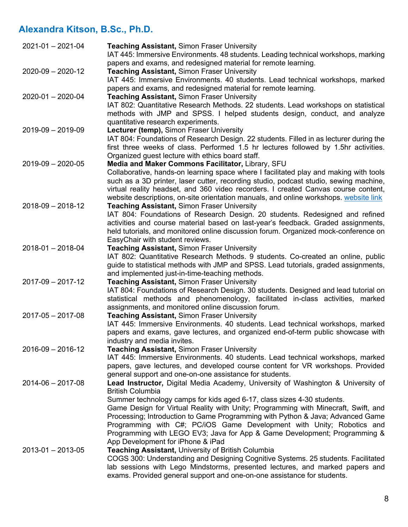| $2021 - 01 - 2021 - 04$ | <b>Teaching Assistant, Simon Fraser University</b><br>IAT 445: Immersive Environments. 48 students. Leading technical workshops, marking                                    |
|-------------------------|-----------------------------------------------------------------------------------------------------------------------------------------------------------------------------|
| $2020 - 09 - 2020 - 12$ | papers and exams, and redesigned material for remote learning.<br><b>Teaching Assistant, Simon Fraser University</b>                                                        |
|                         | IAT 445: Immersive Environments. 40 students. Lead technical workshops, marked<br>papers and exams, and redesigned material for remote learning.                            |
| $2020 - 01 - 2020 - 04$ | <b>Teaching Assistant, Simon Fraser University</b><br>IAT 802: Quantitative Research Methods. 22 students. Lead workshops on statistical                                    |
|                         | methods with JMP and SPSS. I helped students design, conduct, and analyze                                                                                                   |
| $2019-09 - 2019-09$     | quantitative research experiments.<br>Lecturer (temp), Simon Fraser University                                                                                              |
|                         | IAT 804: Foundations of Research Design. 22 students. Filled in as lecturer during the                                                                                      |
|                         | first three weeks of class. Performed 1.5 hr lectures followed by 1.5hr activities.                                                                                         |
|                         | Organized guest lecture with ethics board staff.                                                                                                                            |
| $2019-09 - 2020-05$     | Media and Maker Commons Facilitator, Library, SFU                                                                                                                           |
|                         | Collaborative, hands-on learning space where I facilitated play and making with tools                                                                                       |
|                         | such as a 3D printer, laser cutter, recording studio, podcast studio, sewing machine,                                                                                       |
|                         | virtual reality headset, and 360 video recorders. I created Canvas course content,<br>website descriptions, on-site orientation manuals, and online workshops. website link |
| $2018 - 09 - 2018 - 12$ | <b>Teaching Assistant, Simon Fraser University</b>                                                                                                                          |
|                         | IAT 804: Foundations of Research Design. 20 students. Redesigned and refined                                                                                                |
|                         | activities and course material based on last-year's feedback. Graded assignments,                                                                                           |
|                         | held tutorials, and monitored online discussion forum. Organized mock-conference on                                                                                         |
|                         | EasyChair with student reviews.                                                                                                                                             |
| $2018 - 01 - 2018 - 04$ | <b>Teaching Assistant, Simon Fraser University</b>                                                                                                                          |
|                         | IAT 802: Quantitative Research Methods. 9 students. Co-created an online, public                                                                                            |
|                         | guide to statistical methods with JMP and SPSS. Lead tutorials, graded assignments,                                                                                         |
|                         | and implemented just-in-time-teaching methods.                                                                                                                              |
| $2017 - 09 - 2017 - 12$ | <b>Teaching Assistant, Simon Fraser University</b>                                                                                                                          |
|                         | IAT 804: Foundations of Research Design. 30 students. Designed and lead tutorial on                                                                                         |
|                         | statistical methods and phenomenology, facilitated in-class activities, marked                                                                                              |
|                         | assignments, and monitored online discussion forum.                                                                                                                         |
| $2017 - 05 - 2017 - 08$ | <b>Teaching Assistant, Simon Fraser University</b><br>IAT 445: Immersive Environments. 40 students. Lead technical workshops, marked                                        |
|                         | papers and exams, gave lectures, and organized end-of-term public showcase with                                                                                             |
|                         | industry and media invites.                                                                                                                                                 |
| $2016 - 09 - 2016 - 12$ | <b>Teaching Assistant, Simon Fraser University</b>                                                                                                                          |
|                         | IAT 445: Immersive Environments. 40 students. Lead technical workshops, marked                                                                                              |
|                         | papers, gave lectures, and developed course content for VR workshops. Provided                                                                                              |
|                         | general support and one-on-one assistance for students.                                                                                                                     |
| $2014 - 06 - 2017 - 08$ | Lead Instructor, Digital Media Academy, University of Washington & University of                                                                                            |
|                         | <b>British Columbia</b>                                                                                                                                                     |
|                         | Summer technology camps for kids aged 6-17, class sizes 4-30 students.                                                                                                      |
|                         | Game Design for Virtual Reality with Unity; Programming with Minecraft, Swift, and                                                                                          |
|                         | Processing; Introduction to Game Programming with Python & Java; Advanced Game                                                                                              |
|                         | Programming with C#; PC/iOS Game Development with Unity; Robotics and                                                                                                       |
|                         | Programming with LEGO EV3; Java for App & Game Development; Programming &<br>App Development for iPhone & iPad                                                              |
| $2013 - 01 - 2013 - 05$ | <b>Teaching Assistant, University of British Columbia</b>                                                                                                                   |
|                         | COGS 300: Understanding and Designing Cognitive Systems. 25 students. Facilitated                                                                                           |
|                         | lab sessions with Lego Mindstorms, presented lectures, and marked papers and                                                                                                |
|                         | exams. Provided general support and one-on-one assistance for students.                                                                                                     |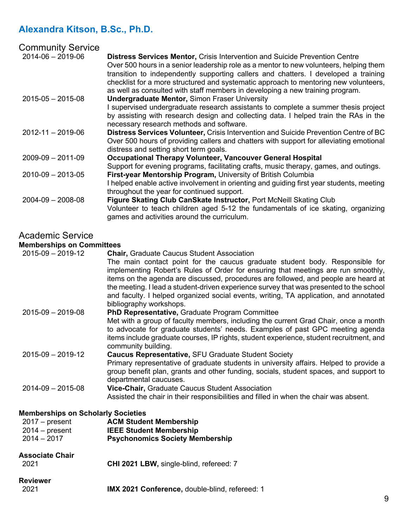| <b>Community Service</b> |                                                                                                                                                                                                                                                                                                                                                                                                                                              |
|--------------------------|----------------------------------------------------------------------------------------------------------------------------------------------------------------------------------------------------------------------------------------------------------------------------------------------------------------------------------------------------------------------------------------------------------------------------------------------|
| $2014 - 06 - 2019 - 06$  | <b>Distress Services Mentor, Crisis Intervention and Suicide Prevention Centre</b><br>Over 500 hours in a senior leadership role as a mentor to new volunteers, helping them<br>transition to independently supporting callers and chatters. I developed a training<br>checklist for a more structured and systematic approach to mentoring new volunteers,<br>as well as consulted with staff members in developing a new training program. |
| $2015 - 05 - 2015 - 08$  | <b>Undergraduate Mentor, Simon Fraser University</b>                                                                                                                                                                                                                                                                                                                                                                                         |
|                          | I supervised undergraduate research assistants to complete a summer thesis project<br>by assisting with research design and collecting data. I helped train the RAs in the<br>necessary research methods and software.                                                                                                                                                                                                                       |
| $2012 - 11 - 2019 - 06$  | Distress Services Volunteer, Crisis Intervention and Suicide Prevention Centre of BC<br>Over 500 hours of providing callers and chatters with support for alleviating emotional<br>distress and setting short term goals.                                                                                                                                                                                                                    |
| $2009 - 09 - 2011 - 09$  | Occupational Therapy Volunteer, Vancouver General Hospital                                                                                                                                                                                                                                                                                                                                                                                   |
| $2010 - 09 - 2013 - 05$  | Support for evening programs, facilitating crafts, music therapy, games, and outings.<br>First-year Mentorship Program, University of British Columbia                                                                                                                                                                                                                                                                                       |
|                          | I helped enable active involvement in orienting and guiding first year students, meeting<br>throughout the year for continued support.                                                                                                                                                                                                                                                                                                       |
| $2004 - 09 - 2008 - 08$  | Figure Skating Club CanSkate Instructor, Port McNeill Skating Club<br>Volunteer to teach children aged 5-12 the fundamentals of ice skating, organizing<br>games and activities around the curriculum.                                                                                                                                                                                                                                       |

# Academic Service

# **Memberships on Committees**

| <b>Reviewer</b><br>2021                                                                            | IMX 2021 Conference, double-blind, refereed: 1                                                                                                                                                                                                                                                                                                                                                                                                                                                                               | 9 |
|----------------------------------------------------------------------------------------------------|------------------------------------------------------------------------------------------------------------------------------------------------------------------------------------------------------------------------------------------------------------------------------------------------------------------------------------------------------------------------------------------------------------------------------------------------------------------------------------------------------------------------------|---|
| <b>Associate Chair</b><br>2021                                                                     | CHI 2021 LBW, single-blind, refereed: 7                                                                                                                                                                                                                                                                                                                                                                                                                                                                                      |   |
| <b>Memberships on Scholarly Societies</b><br>$2017 - present$<br>$2014 - present$<br>$2014 - 2017$ | <b>ACM Student Membership</b><br><b>IEEE Student Membership</b><br><b>Psychonomics Society Membership</b>                                                                                                                                                                                                                                                                                                                                                                                                                    |   |
| $2014 - 09 - 2015 - 08$                                                                            | departmental caucuses.<br>Vice-Chair, Graduate Caucus Student Association<br>Assisted the chair in their responsibilities and filled in when the chair was absent.                                                                                                                                                                                                                                                                                                                                                           |   |
| $2015 - 09 - 2019 - 12$                                                                            | <b>Caucus Representative, SFU Graduate Student Society</b><br>Primary representative of graduate students in university affairs. Helped to provide a<br>group benefit plan, grants and other funding, socials, student spaces, and support to                                                                                                                                                                                                                                                                                |   |
|                                                                                                    | PhD Representative, Graduate Program Committee<br>Met with a group of faculty members, including the current Grad Chair, once a month<br>to advocate for graduate students' needs. Examples of past GPC meeting agenda<br>items include graduate courses, IP rights, student experience, student recruitment, and<br>community building.                                                                                                                                                                                     |   |
| $2015 - 09 - 2019 - 12$<br>$2015 - 09 - 2019 - 08$                                                 | <b>Chair, Graduate Caucus Student Association</b><br>The main contact point for the caucus graduate student body. Responsible for<br>implementing Robert's Rules of Order for ensuring that meetings are run smoothly,<br>items on the agenda are discussed, procedures are followed, and people are heard at<br>the meeting. I lead a student-driven experience survey that was presented to the school<br>and faculty. I helped organized social events, writing, TA application, and annotated<br>bibliography workshops. |   |